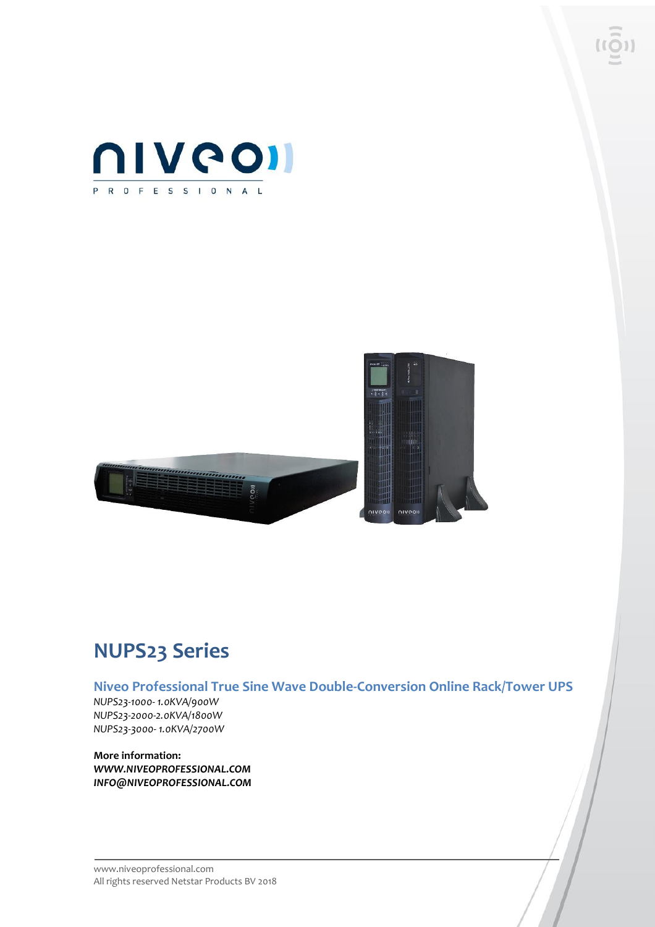



### **NUPS23 Series**

**Niveo Professional True Sine Wave Double-Conversion Online Rack/Tower UPS**

*NUPS23-1000- 1.0KVA/900W NUPS23-2000-2.0KVA/1800W NUPS23-3000- 1.0KVA/2700W*

**More information:** *WWW.NIVEOPROFESSIONAL.COM INFO@NIVEOPROFESSIONAL.COM*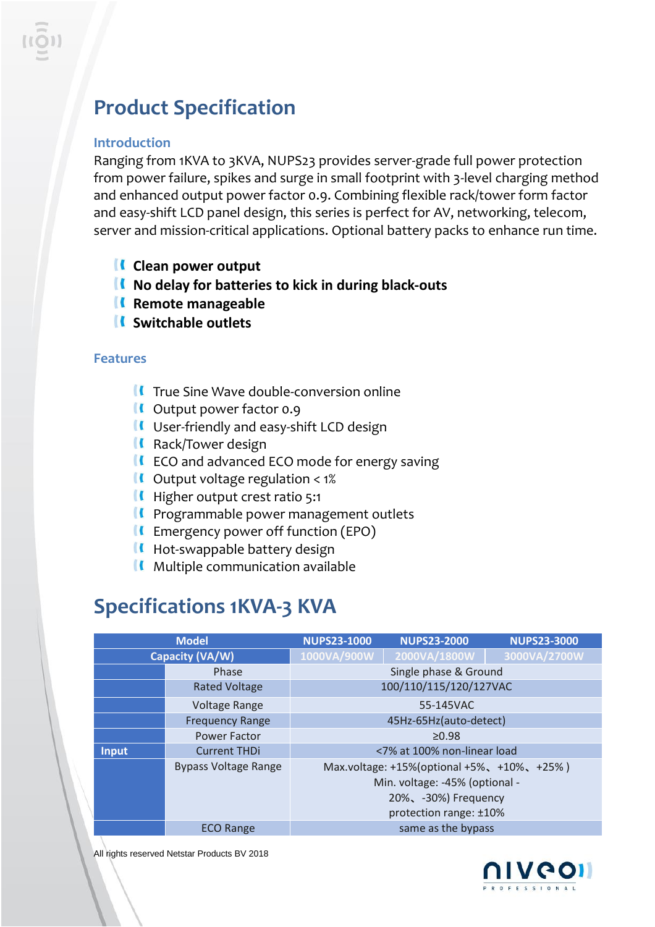## **Product Specification**

#### **Introduction**

Ranging from 1KVA to 3KVA, NUPS23 provides server-grade full power protection from power failure, spikes and surge in small footprint with 3-level charging method and enhanced output power factor 0.9. Combining flexible rack/tower form factor and easy-shift LCD panel design, this series is perfect for AV, networking, telecom, server and mission-critical applications. Optional battery packs to enhance run time.

- **Clean power output**
- **No delay for batteries to kick in during black-outs**
- **K** Remote manageable
- **Switchable outlets**

#### **Features**

- $\blacksquare$  True Sine Wave double-conversion online
- **If** Output power factor 0.9
- **II** User-friendly and easy-shift LCD design
- **K** Rack/Tower design
- $\blacksquare$  ECO and advanced ECO mode for energy saving
- $\blacksquare$  Output voltage regulation < 1%
- **Higher output crest ratio 5:1**
- **II** Programmable power management outlets
- $\blacksquare$  Emergency power off function (EPO)
- $\blacksquare$  Hot-swappable battery design
- $\blacksquare$  Multiple communication available

### **Specifications 1KVA-3 KVA**

| <b>Model</b>    |                             | <b>NUPS23-1000</b>     | <b>NUPS23-2000</b>                                                                                                             | <b>NUPS23-3000</b> |
|-----------------|-----------------------------|------------------------|--------------------------------------------------------------------------------------------------------------------------------|--------------------|
| Capacity (VA/W) |                             | 1000VA/900W            | 2000VA/1800W                                                                                                                   | 3000VA/2700W       |
|                 | Phase                       | Single phase & Ground  |                                                                                                                                |                    |
|                 | <b>Rated Voltage</b>        | 100/110/115/120/127VAC |                                                                                                                                |                    |
|                 | <b>Voltage Range</b>        | 55-145VAC              |                                                                                                                                |                    |
|                 | <b>Frequency Range</b>      | 45Hz-65Hz(auto-detect) |                                                                                                                                |                    |
|                 | <b>Power Factor</b>         | $\geq 0.98$            |                                                                                                                                |                    |
| Input           | <b>Current THDi</b>         |                        | <7% at 100% non-linear load                                                                                                    |                    |
|                 | <b>Bypass Voltage Range</b> |                        | Max.voltage: +15%(optional +5%, +10%, +25%)<br>Min. voltage: -45% (optional -<br>20%、-30%) Frequency<br>protection range: ±10% |                    |
|                 | <b>ECO Range</b>            |                        | same as the bypass                                                                                                             |                    |

All rights reserved Netstar Products BV 2018

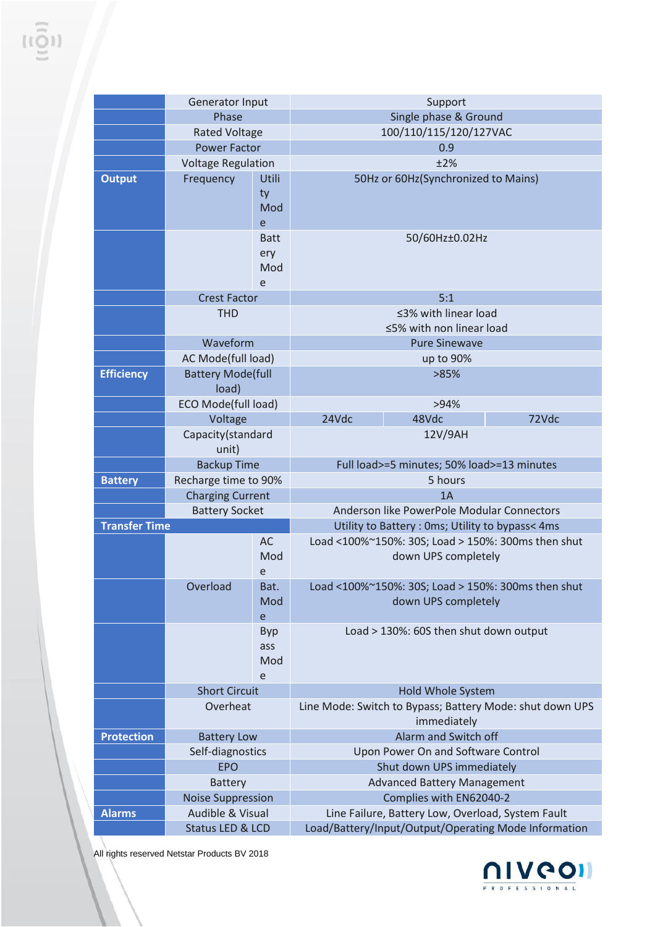|                      | Generator Input                                  |             | Support                                                  |                                        |                                                    |
|----------------------|--------------------------------------------------|-------------|----------------------------------------------------------|----------------------------------------|----------------------------------------------------|
|                      | Phase                                            |             | Single phase & Ground                                    |                                        |                                                    |
|                      | <b>Rated Voltage</b>                             |             | 100/110/115/120/127VAC                                   |                                        |                                                    |
|                      | <b>Power Factor</b>                              |             | 0.9                                                      |                                        |                                                    |
|                      | <b>Voltage Regulation</b>                        |             | ±2%                                                      |                                        |                                                    |
| <b>Output</b>        | Frequency                                        | Utili       | 50Hz or 60Hz(Synchronized to Mains)                      |                                        |                                                    |
|                      |                                                  | ty          |                                                          |                                        |                                                    |
|                      |                                                  | Mod         |                                                          |                                        |                                                    |
|                      |                                                  | e           |                                                          |                                        |                                                    |
|                      |                                                  | <b>Batt</b> |                                                          | 50/60Hz±0.02Hz                         |                                                    |
|                      |                                                  | ery         |                                                          |                                        |                                                    |
|                      |                                                  | Mod         |                                                          |                                        |                                                    |
|                      |                                                  | e           |                                                          |                                        |                                                    |
|                      | <b>Crest Factor</b>                              |             | 5:1                                                      |                                        |                                                    |
|                      | <b>THD</b>                                       |             | ≤3% with linear load                                     |                                        |                                                    |
|                      |                                                  |             | ≤5% with non linear load                                 |                                        |                                                    |
|                      | Waveform                                         |             | <b>Pure Sinewave</b>                                     |                                        |                                                    |
|                      | AC Mode(full load)                               |             | up to 90%                                                |                                        |                                                    |
| <b>Efficiency</b>    | <b>Battery Mode(full</b>                         |             | >85%                                                     |                                        |                                                    |
|                      | load)                                            |             |                                                          |                                        |                                                    |
|                      | <b>ECO Mode(full load)</b>                       |             |                                                          | >94%                                   |                                                    |
|                      | Voltage                                          |             | 24Vdc                                                    | 48Vdc                                  | 72Vdc                                              |
|                      | Capacity(standard                                |             | 12V/9AH                                                  |                                        |                                                    |
|                      | unit)                                            |             |                                                          |                                        |                                                    |
|                      | <b>Backup Time</b><br>Recharge time to 90%       |             | Full load>=5 minutes; 50% load>=13 minutes<br>5 hours    |                                        |                                                    |
| <b>Battery</b>       |                                                  |             | 1A                                                       |                                        |                                                    |
|                      | <b>Charging Current</b><br><b>Battery Socket</b> |             | Anderson like PowerPole Modular Connectors               |                                        |                                                    |
| <b>Transfer Time</b> |                                                  |             | Utility to Battery: 0ms; Utility to bypass< 4ms          |                                        |                                                    |
|                      |                                                  | <b>AC</b>   |                                                          |                                        | Load <100%~150%: 30S; Load > 150%: 300ms then shut |
|                      |                                                  | Mod         |                                                          | down UPS completely                    |                                                    |
|                      |                                                  | e           |                                                          |                                        |                                                    |
|                      | Overload                                         | Bat.        | Load <100%~150%: 30S; Load > 150%: 300ms then shut       |                                        |                                                    |
|                      |                                                  | Mod         | down UPS completely                                      |                                        |                                                    |
|                      |                                                  | e           |                                                          |                                        |                                                    |
|                      |                                                  | <b>Byp</b>  |                                                          | Load > 130%: 60S then shut down output |                                                    |
|                      |                                                  | ass         |                                                          |                                        |                                                    |
|                      |                                                  | Mod         |                                                          |                                        |                                                    |
|                      |                                                  | e           |                                                          |                                        |                                                    |
|                      | <b>Short Circuit</b>                             |             | Hold Whole System                                        |                                        |                                                    |
|                      | Overheat                                         |             | Line Mode: Switch to Bypass; Battery Mode: shut down UPS |                                        |                                                    |
|                      |                                                  |             | immediately                                              |                                        |                                                    |
| <b>Protection</b>    | <b>Battery Low</b>                               |             | Alarm and Switch off                                     |                                        |                                                    |
|                      | Self-diagnostics                                 |             | Upon Power On and Software Control                       |                                        |                                                    |
|                      | <b>EPO</b>                                       |             | Shut down UPS immediately                                |                                        |                                                    |
|                      | <b>Battery</b>                                   |             | <b>Advanced Battery Management</b>                       |                                        |                                                    |
|                      | <b>Noise Suppression</b>                         |             | Complies with EN62040-2                                  |                                        |                                                    |
| <b>Alarms</b>        | Audible & Visual                                 |             | Line Failure, Battery Low, Overload, System Fault        |                                        |                                                    |
|                      | Status LED & LCD                                 |             | Load/Battery/Input/Output/Operating Mode Information     |                                        |                                                    |

All rights reserved Netstar Products BV 2018

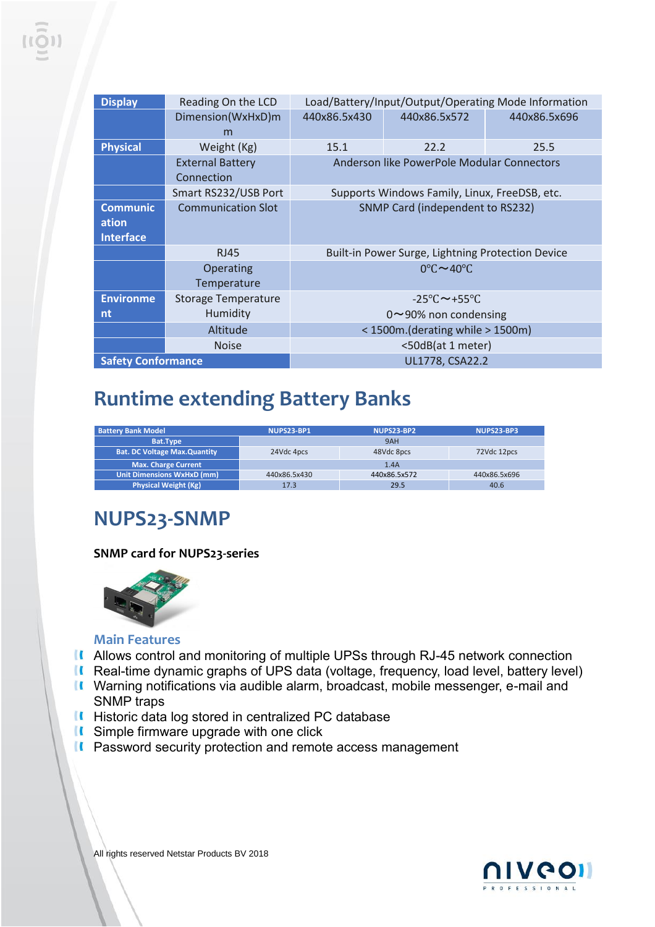| <b>Display</b>                               | Reading On the LCD                    | Load/Battery/Input/Output/Operating Mode Information |                                      |              |
|----------------------------------------------|---------------------------------------|------------------------------------------------------|--------------------------------------|--------------|
|                                              | Dimension(WxHxD)m<br>m                | 440x86.5x430                                         | 440x86.5x572                         | 440x86.5x696 |
| <b>Physical</b>                              | Weight (Kg)                           | 15.1                                                 | 22.2                                 | 25.5         |
|                                              | <b>External Battery</b><br>Connection | Anderson like PowerPole Modular Connectors           |                                      |              |
|                                              | Smart RS232/USB Port                  | Supports Windows Family, Linux, FreeDSB, etc.        |                                      |              |
| <b>Communic</b><br>ation<br><b>Interface</b> | <b>Communication Slot</b>             | SNMP Card (independent to RS232)                     |                                      |              |
|                                              | <b>RJ45</b>                           | Built-in Power Surge, Lightning Protection Device    |                                      |              |
|                                              | Operating<br>Temperature              |                                                      | $0^{\circ}$ C $\sim$ 40 $^{\circ}$ C |              |
| <b>Environme</b>                             | <b>Storage Temperature</b>            | $-25\degree C \sim +55\degree C$                     |                                      |              |
| nt                                           | Humidity                              | $0 \sim 90\%$ non condensing                         |                                      |              |
|                                              | Altitude                              |                                                      | <1500m.(derating while >1500m)       |              |
|                                              | <b>Noise</b>                          |                                                      | <50dB(at 1 meter)                    |              |
| <b>Safety Conformance</b>                    |                                       | UL1778, CSA22.2                                      |                                      |              |

### **Runtime extending Battery Banks**

| <b>Battery Bank Model</b>           | NUPS23-BP1   | NUPS23-BP2   | NUPS23-BP3   |
|-------------------------------------|--------------|--------------|--------------|
| Bat.Type                            |              | 9AH          |              |
| <b>Bat. DC Voltage Max.Quantity</b> | 24Vdc 4pcs   | 48Vdc 8pcs   | 72Vdc 12pcs  |
| <b>Max. Charge Current</b>          |              | 1.4A         |              |
| <b>Unit Dimensions WxHxD (mm)</b>   | 440x86.5x430 | 440x86.5x572 | 440x86.5x696 |
| <b>Physical Weight (Kg)</b>         | 17.3         | 29.5         | 40.6         |

#### **NUPS23-SNMP**

#### **SNMP card for NUPS23-series**



#### **Main Features**

- **II** Allows control and monitoring of multiple UPSs through RJ-45 network connection
- Real-time dynamic graphs of UPS data (voltage, frequency, load level, battery level)
- Warning notifications via audible alarm, broadcast, mobile messenger, e-mail and SNMP traps
- **II** Historic data log stored in centralized PC database
- **K** Simple firmware upgrade with one click
- **II** Password security protection and remote access management



All rights reserved Netstar Products BV 2018